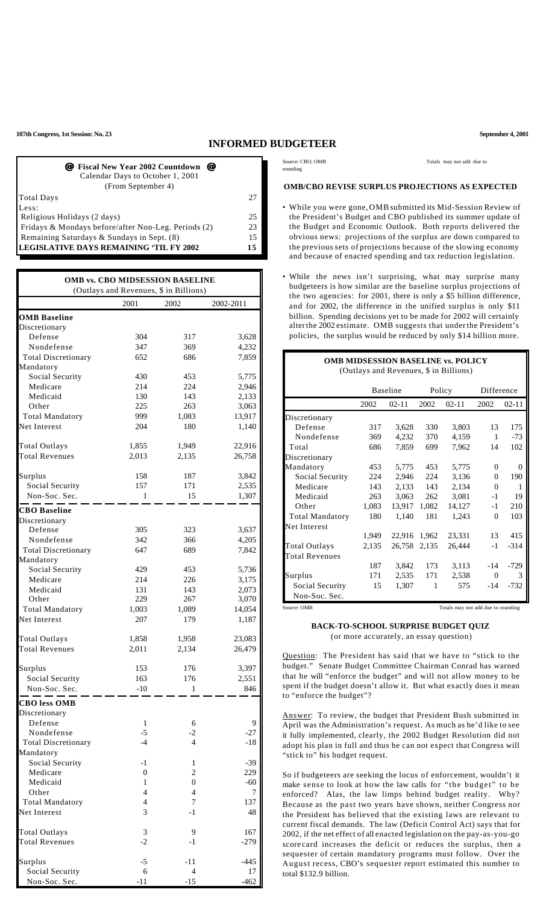**107th Congress, 1st Session: No. 23 September 4, 2001**

## **INFORMED BUDGETEER**

| <i>■</i> Fiscal New Year 2002 Countdown ■<br>Calendar Days to October 1, 2001<br>(From September 4) |    |
|-----------------------------------------------------------------------------------------------------|----|
| Total Days                                                                                          | 27 |
| Less:                                                                                               |    |
| Religious Holidays (2 days)                                                                         | 25 |
| Fridays & Mondays before/after Non-Leg. Periods (2)                                                 | 23 |
| Remaining Saturdays & Sundays in Sept. (8)                                                          | 15 |
| <b>LEGISLATIVE DAYS REMAINING 'TIL FY 2002</b>                                                      | 15 |

|                            | <b>OMB vs. CBO MIDSESSION BASELINE</b><br>(Outlays and Revenues, \$ in Billions) |                |           |
|----------------------------|----------------------------------------------------------------------------------|----------------|-----------|
|                            | 2001                                                                             | 2002           | 2002-2011 |
| <b>OMB Baseline</b>        |                                                                                  |                |           |
| Discretionary              |                                                                                  |                |           |
| Defense                    | 304                                                                              | 317            | 3,628     |
| Nondefense                 | 347                                                                              | 369            | 4,232     |
| <b>Total Discretionary</b> | 652                                                                              | 686            | 7,859     |
| Mandatory                  |                                                                                  |                |           |
| Social Security            | 430                                                                              | 453            | 5,775     |
| Medicare                   | 214                                                                              | 224            | 2,946     |
| Medicaid                   | 130                                                                              | 143            | 2,133     |
| Other                      | 225                                                                              | 263            | 3,063     |
| <b>Total Mandatory</b>     | 999                                                                              | 1,083          | 13,917    |
| Net Interest               | 204                                                                              | 180            | 1,140     |
| <b>Total Outlays</b>       | 1,855                                                                            | 1,949          | 22,916    |
| <b>Total Revenues</b>      | 2,013                                                                            | 2,135          | 26,758    |
|                            |                                                                                  |                |           |
| Surplus                    | 158                                                                              | 187            | 3,842     |
| Social Security            | 157                                                                              | 171            | 2,535     |
| Non-Soc. Sec.              | 1                                                                                | 15             | 1,307     |
| <b>CBO</b> Baseline        |                                                                                  |                |           |
| Discretionary              |                                                                                  |                |           |
| Defense                    | 305                                                                              | 323            | 3,637     |
| Nondefense                 | 342                                                                              | 366            | 4,205     |
| <b>Total Discretionary</b> | 647                                                                              | 689            | 7,842     |
| Mandatory                  |                                                                                  |                |           |
| Social Security            | 429                                                                              | 453            | 5,736     |
| Medicare                   | 214                                                                              | 226            | 3,175     |
| Medicaid                   | 131                                                                              | 143            | 2,073     |
| Other                      | 229                                                                              | 267            | 3,070     |
| <b>Total Mandatory</b>     | 1,003                                                                            | 1,089          | 14,054    |
| Net Interest               | 207                                                                              | 179            | 1,187     |
| <b>Total Outlays</b>       | 1,858                                                                            | 1,958          | 23,083    |
| <b>Total Revenues</b>      | 2,011                                                                            | 2,134          | 26,479    |
| Surplus                    | 153                                                                              | 176            | 3,397     |
| Social Security            | 163                                                                              | 176            | 2,551     |
| Non-Soc. Sec.              | $-10$                                                                            | 1              | 846       |
| <b>CBO</b> less OMB        |                                                                                  |                |           |
| Discretionary              |                                                                                  |                |           |
| Defense                    | $\mathbf{1}$                                                                     | 6              | 9         |
| Nondefense                 | $-5$                                                                             | $-2$           | $-27$     |
| <b>Total Discretionary</b> | $-4$                                                                             | $\overline{4}$ | $-18$     |
| Mandatory                  |                                                                                  |                |           |
| Social Security            | $-1$                                                                             | 1              | $-39$     |
| Medicare                   | $\boldsymbol{0}$                                                                 | $\overline{c}$ | 229       |
| Medicaid                   | 1                                                                                | $\theta$       | $-60$     |
| Other                      | $\overline{4}$                                                                   | 4              | 7         |
| <b>Total Mandatory</b>     | $\overline{4}$                                                                   | 7              | 137       |
| Net Interest               | 3                                                                                | $-1$           | 48        |
| <b>Total Outlays</b>       | 3                                                                                | 9              | 167       |
| <b>Total Revenues</b>      | -2                                                                               | $-1$           | $-279$    |
| Surplus                    | $-5$                                                                             | -11            | $-445$    |
| Social Security            | 6                                                                                | $\overline{4}$ | 17        |
| Non-Soc. Sec.              | $-11$                                                                            | $-15$          | $-462$    |

rounding

Source: CBO, OMB Totals may not add due to

## **OMB/CBO REVISE SURPLUS PROJECTIONS AS EXPECTED**

- While you were gone,OMBsubmitted its Mid-Session Review of the President's Budget and CBO published its summer update of the Budget and Economic Outlook. Both reports delivered the obvious news: projections of the surplus are down compared to the previous sets of projections because of the slowing economy and because of enacted spending and tax reduction legislation.
- While the news isn't surprising, what may surprise many budgeteers is how similar are the baseline surplus projections of the two agencies: for 2001, there is only a \$5 billion difference, and for 2002, the difference in the unified surplus is only \$11 billion. Spending decisions yet to be made for 2002 will certainly alterthe 2002 estimate. OMB suggests that underthe President's policies, the surplus would be reduced by only \$14 billion more.

| <b>OMB MIDSESSION BASELINE vs. POLICY</b><br>(Outlays and Revenues, \$ in Billions) |                 |           |        |           |            |           |
|-------------------------------------------------------------------------------------|-----------------|-----------|--------|-----------|------------|-----------|
|                                                                                     | <b>Baseline</b> |           | Policy |           | Difference |           |
|                                                                                     | 2002            | $02 - 11$ | 2002   | $02 - 11$ | 2002       | $02 - 11$ |
| Discretionary                                                                       |                 |           |        |           |            |           |
| Defense                                                                             | 317             | 3,628     | 330    | 3,803     | 13         | 175       |
| Nondefense                                                                          | 369             | 4,232     | 370    | 4,159     | 1          | $-73$     |
| Total                                                                               | 686             | 7,859     | 699    | 7,962     | 14         | 102       |
| Discretionary                                                                       |                 |           |        |           |            |           |
| Mandatory                                                                           | 453             | 5,775     | 453    | 5,775     | $\Omega$   | $\Omega$  |
| Social Security                                                                     | 224             | 2,946     | 224    | 3,136     | $\Omega$   | 190       |
| Medicare                                                                            | 143             | 2,133     | 143    | 2,134     | $\Omega$   | 1         |
| Medicaid                                                                            | 263             | 3.063     | 262    | 3,081     | $-1$       | 19        |
| Other                                                                               | 1,083           | 13,917    | 1,082  | 14,127    | -1         | 210       |
| <b>Total Mandatory</b>                                                              | 180             | 1,140     | 181    | 1,243     | $\Omega$   | 103       |
| Net Interest                                                                        |                 |           |        |           |            |           |
|                                                                                     | 1.949           | 22.916    | 1.962  | 23,331    | 13         | 415       |
| Total Outlays                                                                       | 2,135           | 26,758    | 2,135  | 26,444    | $-1$       | $-314$    |
| <b>Total Revenues</b>                                                               |                 |           |        |           |            |           |
|                                                                                     | 187             | 3,842     | 173    | 3,113     | $-14$      | $-729$    |
| Surplus                                                                             | 171             | 2,535     | 171    | 2,538     | $\Omega$   | 3         |
| Social Security                                                                     | 15              | 1,307     | 1      | 575       | $-14$      | $-732$    |
| Non-Soc. Sec.                                                                       |                 |           |        |           |            |           |
| Totals may not add due to rounding<br>Source: OMB                                   |                 |           |        |           |            |           |

## **BACK-TO-SCHOOL SURPRISE BUDGET QUIZ** (or more accurately, an essay question)

Question: The President has said that we have to "stick to the budget." Senate Budget Committee Chairman Conrad has warned that he will "enforce the budget" and will not allow money to be spent if the budget doesn't allow it. But what exactly does it mean to "enforce the budget"?

Answer: To review, the budget that President Bush submitted in April was the Administration's request. As much as he'd like to see it fully implemented, clearly, the 2002 Budget Resolution did not adopt his plan in full and thus he can not expect that Congress will "stick to" his budget request.

So if budgeteers are seeking the locus of enforcement, wouldn't it make sense to look at how the law calls for "the budget" to be enforced? Alas, the law limps behind budget reality. Why? Because as the past two years have shown, neither Congress nor the President has believed that the existing laws are relevant to current fiscal demands. The law (Deficit Control Act) says that for 2002, if the net effect of all enacted legislation on the pay-as-you-go score card increases the deficit or reduces the surplus, then a sequester of certain mandatory programs must follow. Over the August recess, CBO's sequester report estimated this number to total \$132.9 billion.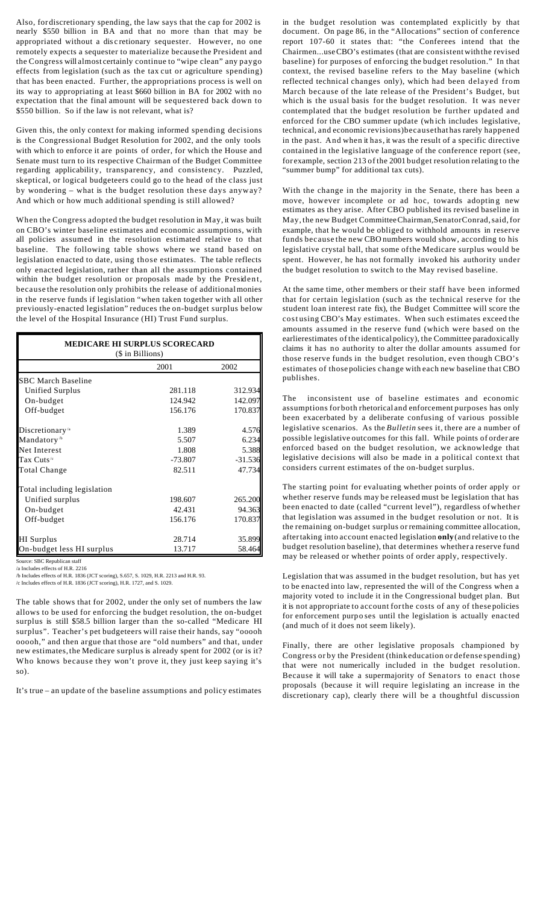Also, for discretionary spending, the law says that the cap for 2002 is nearly \$550 billion in BA and that no more than that may be appropriated without a dis c retionary sequester. However, no one remotely expects a sequester to materialize because the President and the Congress will almost certainly continue to "wipe clean" any paygo effects from legislation (such as the tax cut or agriculture spending) that has been enacted. Further, the appropriations process is well on its way to appropriating at least \$660 billion in BA for 2002 with no expectation that the final amount will be sequestered back down to \$550 billion. So if the law is not relevant, what is?

Given this, the only context for making informed spending decisions is the Congressional Budget Resolution for 2002, and the only tools with which to enforce it are points of order, for which the House and Senate must turn to its respective Chairman of the Budget Committee regarding applicability, transparency, and consistency. Puzzled, skeptical, or logical budgeteers could go to the head of the class just by wondering – what is the budget resolution these days anyway? And which or how much additional spending is still allowed?

When the Congress adopted the budget resolution in May, it was built on CBO's winter baseline estimates and economic assumptions, with all policies assumed in the resolution estimated relative to that baseline. The following table shows where we stand based on legislation enacted to date, using those estimates. The table reflects only enacted legislation, rather than all the assumptions contained within the budget resolution or proposals made by the President, because the resolution only prohibits the release of additionalmonies in the reserve funds if legislation "when taken together with all other previously-enacted legislation" reduces the on-budget surplus below the level of the Hospital Insurance (HI) Trust Fund surplus.

| <b>MEDICARE HI SURPLUS SCORECARD</b><br>(\$ in Billions) |           |           |  |  |
|----------------------------------------------------------|-----------|-----------|--|--|
|                                                          | 2001      | 2002      |  |  |
| <b>SBC March Baseline</b>                                |           |           |  |  |
| Unified Surplus                                          | 281.118   | 312.934   |  |  |
| On-budget                                                | 124.942   | 142.097   |  |  |
| Off-budget                                               | 156.176   | 170.837   |  |  |
| Discretionary <sup>/a</sup>                              | 1.389     | 4.576     |  |  |
| Mandatory <sup>/b</sup>                                  | 5.507     | 6.234     |  |  |
| Net Interest                                             | 1.808     | 5.388     |  |  |
| Tax Cuts $\rm{^{\prime c}}$                              | $-73.807$ | $-31.536$ |  |  |
| <b>Total Change</b>                                      | 82.511    | 47.734    |  |  |
| Total including legislation                              |           |           |  |  |
| Unified surplus                                          | 198.607   | 265.200   |  |  |
| On-budget                                                | 42.431    | 94.363    |  |  |
| Off-budget                                               | 156.176   | 170.837   |  |  |
| <b>HI</b> Surplus                                        | 28.714    | 35.899    |  |  |
| On-budget less HI surplus                                | 13.717    | 58.464    |  |  |

Source: SBC Republican staff /a Includes effects of H.R. 2216

/b Includes effects of H.R. 1836 (JCT scoring), S.657, S. 1029, H.R. 2213 and H.R. 93.

/c Includes effects of H.R. 1836 (JCT scoring), H.R. 1727, and S. 1029.

The table shows that for 2002, under the only set of numbers the law allows to be used for enforcing the budget resolution, the on-budget surplus is still \$58.5 billion larger than the so-called "Medicare HI surplus". Teacher's pet budgeteers will raise their hands, say "ooooh ooooh," and then argue that those are "old numbers" and that, under new estimates,the Medicare surplus is already spent for 2002 (or is it? Who knows because they won't prove it, they just keep saying it's so).

It's true – an update of the baseline assumptions and policy estimates

in the budget resolution was contemplated explicitly by that document. On page 86, in the "Allocations" section of conference report 107-60 it states that: "the Conferees intend that the Chairmen...useCBO's estimates (that are consistent withthe revised baseline) for purposes of enforcing the budget resolution." In that context, the revised baseline refers to the May baseline (which reflected technical changes only), which had been delayed from March because of the late release of the President's Budget, but which is the usual basis for the budget resolution. It was never contemplated that the budget resolution be further updated and enforced for the CBO summer update (wh ich includes legislative, technical, and economic revisions)becausethat has rarely happened in the past. And when it has, it was the result of a specific directive contained in the legislative language of the conference report (see, for example, section 213 of the 2001 budget resolution relating to the "summer bump" for additional tax cuts).

With the change in the majority in the Senate, there has been a move, however incomplete or ad hoc, towards adopting new estimates as they arise. After CBO published its revised baseline in May, the new Budget CommitteeChairman,SenatorConrad,said,for example, that he would be obliged to withhold amounts in reserve funds because the new CBO numbers would show, according to his legislative crystal ball, that some ofthe Medicare surplus would be spent. However, he has not formally invoked his authority under the budget resolution to switch to the May revised baseline.

At the same time, other members or their staff have been informed that for certain legislation (such as the technical reserve for the student loan interest rate fix), the Budget Committee will score the cost using CBO's May estimates. When such estimates exceed the amounts assumed in the reserve fund (which were based on the earlierestimates of the identical policy), the Committee paradoxically claims it has no authority to alter the dollar amounts assumed for those reserve funds in the budget resolution, even though CBO's estimates of those policies change with each new baseline that CBO publishes.

The inconsistent use of baseline estimates and economic assumptions for both rhetorical and enforcement purposes has only been exacerbated by a deliberate confusing of various possible legislative scenarios. As the *Bulletin* sees it, there are a number of possible legislative outcomes for this fall. While points of order are enforced based on the budget resolution, we acknowledge that legislative decisions will also be made in a political context that considers current estimates of the on-budget surplus.

The starting point for evaluating whether points of order apply or whether reserve funds may be released must be legislation that has been enacted to date (called "current level"), regardless ofwhether that legislation was assumed in the budget resolution or not. It is the remaining on-budget surplus or remaining committee allocation, aftertaking into account enacted legislation **only**(and relative to the budget resolution baseline), that determines whether a reserve fund may be released or whether points of order apply, respectively.

Legislation that was assumed in the budget resolution, but has yet to be enacted into law, represented the will of the Congress when a majority voted to include it in the Congressional budget plan. But it is not appropriate to account forthe costs of any of these policies for enforcement purp o ses until the legislation is actually enacted (and much of it does not seem likely).

Finally, there are other legislative proposals championed by Congress or by the President (think education or defense spending) that were not numerically included in the budget resolution. Because it will take a supermajority of Senators to enact those proposals (because it will require legislating an increase in the discretionary cap), clearly there will be a thoughtful discussion